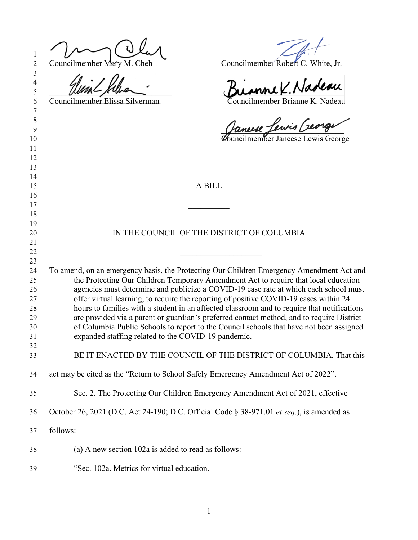| 1<br>$\overline{2}$      | Councilmember Mary M. Cheh<br>Councilmember Robert C. White, Jr.                                                                                                                     |
|--------------------------|--------------------------------------------------------------------------------------------------------------------------------------------------------------------------------------|
| 3<br>$\overline{4}$<br>5 | unnek. Nadeau                                                                                                                                                                        |
| 6                        | Councilmember Brianne K. Nadeau<br>Councilmember Elissa Silverman                                                                                                                    |
| 7<br>8                   |                                                                                                                                                                                      |
| 9                        | Januse Lewis Creage                                                                                                                                                                  |
| 10                       |                                                                                                                                                                                      |
| 11                       |                                                                                                                                                                                      |
| 12                       |                                                                                                                                                                                      |
| 13<br>14                 |                                                                                                                                                                                      |
| 15                       | A BILL                                                                                                                                                                               |
| 16                       |                                                                                                                                                                                      |
| 17                       |                                                                                                                                                                                      |
| 18                       |                                                                                                                                                                                      |
| 19                       |                                                                                                                                                                                      |
| 20                       | IN THE COUNCIL OF THE DISTRICT OF COLUMBIA                                                                                                                                           |
| 21<br>22                 |                                                                                                                                                                                      |
| 23                       |                                                                                                                                                                                      |
| 24                       | To amend, on an emergency basis, the Protecting Our Children Emergency Amendment Act and                                                                                             |
| 25                       | the Protecting Our Children Temporary Amendment Act to require that local education                                                                                                  |
| 26                       | agencies must determine and publicize a COVID-19 case rate at which each school must                                                                                                 |
| 27                       | offer virtual learning, to require the reporting of positive COVID-19 cases within 24                                                                                                |
| 28                       | hours to families with a student in an affected classroom and to require that notifications                                                                                          |
| 29<br>30                 | are provided via a parent or guardian's preferred contact method, and to require District<br>of Columbia Public Schools to report to the Council schools that have not been assigned |
| 31                       | expanded staffing related to the COVID-19 pandemic.                                                                                                                                  |
| 32                       |                                                                                                                                                                                      |
| 33                       | BE IT ENACTED BY THE COUNCIL OF THE DISTRICT OF COLUMBIA, That this                                                                                                                  |
| 34                       | act may be cited as the "Return to School Safely Emergency Amendment Act of 2022".                                                                                                   |
| 35                       | Sec. 2. The Protecting Our Children Emergency Amendment Act of 2021, effective                                                                                                       |
| 36                       | October 26, 2021 (D.C. Act 24-190; D.C. Official Code § 38-971.01 et seq.), is amended as                                                                                            |
| 37                       | follows:                                                                                                                                                                             |
| 38                       | (a) A new section 102a is added to read as follows:                                                                                                                                  |
| 39                       | "Sec. 102a. Metrics for virtual education.                                                                                                                                           |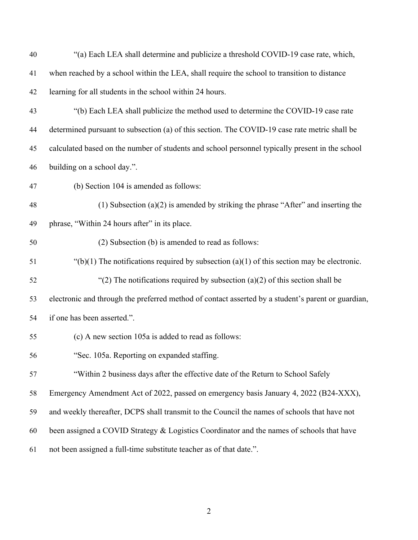| 40 | "(a) Each LEA shall determine and publicize a threshold COVID-19 case rate, which,                 |
|----|----------------------------------------------------------------------------------------------------|
| 41 | when reached by a school within the LEA, shall require the school to transition to distance        |
| 42 | learning for all students in the school within 24 hours.                                           |
| 43 | "(b) Each LEA shall publicize the method used to determine the COVID-19 case rate                  |
| 44 | determined pursuant to subsection (a) of this section. The COVID-19 case rate metric shall be      |
| 45 | calculated based on the number of students and school personnel typically present in the school    |
| 46 | building on a school day.".                                                                        |
| 47 | (b) Section 104 is amended as follows:                                                             |
| 48 | $(1)$ Subsection $(a)(2)$ is amended by striking the phrase "After" and inserting the              |
| 49 | phrase, "Within 24 hours after" in its place.                                                      |
| 50 | (2) Subsection (b) is amended to read as follows:                                                  |
| 51 | "(b)(1) The notifications required by subsection (a)(1) of this section may be electronic.         |
| 52 | "(2) The notifications required by subsection (a)(2) of this section shall be                      |
| 53 | electronic and through the preferred method of contact asserted by a student's parent or guardian, |
| 54 | if one has been asserted.".                                                                        |
| 55 | (c) A new section 105a is added to read as follows:                                                |
| 56 | "Sec. 105a. Reporting on expanded staffing.                                                        |
| 57 | "Within 2 business days after the effective date of the Return to School Safely                    |
| 58 | Emergency Amendment Act of 2022, passed on emergency basis January 4, 2022 (B24-XXX),              |
| 59 | and weekly thereafter, DCPS shall transmit to the Council the names of schools that have not       |
| 60 | been assigned a COVID Strategy & Logistics Coordinator and the names of schools that have          |
| 61 | not been assigned a full-time substitute teacher as of that date.".                                |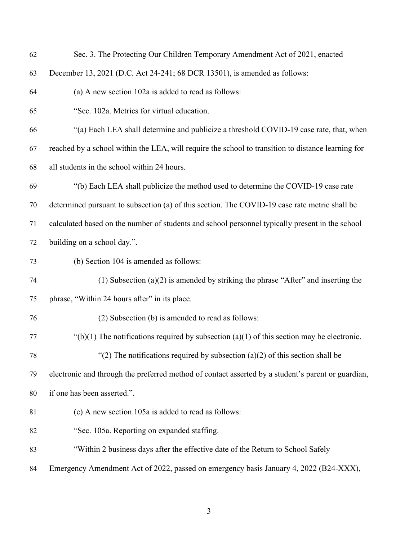| 62 | Sec. 3. The Protecting Our Children Temporary Amendment Act of 2021, enacted                       |
|----|----------------------------------------------------------------------------------------------------|
| 63 | December 13, 2021 (D.C. Act 24-241; 68 DCR 13501), is amended as follows:                          |
| 64 | (a) A new section 102a is added to read as follows:                                                |
| 65 | "Sec. 102a. Metrics for virtual education.                                                         |
| 66 | "(a) Each LEA shall determine and publicize a threshold COVID-19 case rate, that, when             |
| 67 | reached by a school within the LEA, will require the school to transition to distance learning for |
| 68 | all students in the school within 24 hours.                                                        |
| 69 | "(b) Each LEA shall publicize the method used to determine the COVID-19 case rate                  |
| 70 | determined pursuant to subsection (a) of this section. The COVID-19 case rate metric shall be      |
| 71 | calculated based on the number of students and school personnel typically present in the school    |
| 72 | building on a school day.".                                                                        |
| 73 | (b) Section 104 is amended as follows:                                                             |
| 74 | (1) Subsection $(a)(2)$ is amended by striking the phrase "After" and inserting the                |
| 75 | phrase, "Within 24 hours after" in its place.                                                      |
| 76 | (2) Subsection (b) is amended to read as follows:                                                  |
| 77 | "(b)(1) The notifications required by subsection (a)(1) of this section may be electronic.         |
| 78 | "(2) The notifications required by subsection (a)(2) of this section shall be                      |
| 79 | electronic and through the preferred method of contact asserted by a student's parent or guardian, |
| 80 | if one has been asserted.".                                                                        |
| 81 | (c) A new section 105a is added to read as follows:                                                |
| 82 | "Sec. 105a. Reporting on expanded staffing.                                                        |
| 83 | "Within 2 business days after the effective date of the Return to School Safely                    |
| 84 | Emergency Amendment Act of 2022, passed on emergency basis January 4, 2022 (B24-XXX),              |